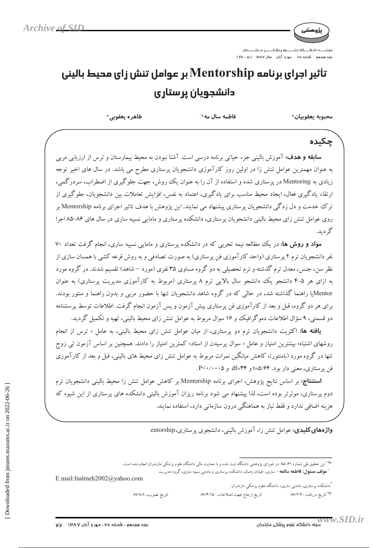

وره هجدهم شماره ۶۶ مهر و آبان سال ۱۳۸۷ (۳۶۰ - ۴۴)

# تأثير اجراي برنامه Mentorship بر عوامل تنش زاي محيط باليني دانشجویان پرستاری

محبوبه يعقوبيان\*

فاطمه سال مه $^{\ast\ast}$ 

طاهره يعقوبي\*

## حكىدە

**سابقه و هدف:** آموزش بالینی جزء حیاتی برنامه درسی است. آشنا نبودن به محیط بیمارستان و ترس از ارزیابی مربی به عنوان مهمترین عوامل تنش زا در اولین روز کارآموزی دانشجویان پرستاری مطرح می باشد. در سال های اخیر توجه زیادی به Mentoring در پرستاری شده و استفاده از آن را به عنوان یک روش، جهت جلوگیری از اضطراب، سردرگمی، ارتقاء یادگیری فعال، ایجاد محیط مناسب برای یادگیری، اعتماد به نفس، افزایش تعاملات بین دانشجویان، جلوگیری از ترک خدمت و دل زدگی دانشجویان پرستاری پیشنهاد می نمایند. این پژوهش با هدف تاثیر اجرای برنامه Mentorship بر روی عوامل تنش زای محیط بالبنی دانشجو بان پرستاری، دانشکده پرستاری و مامایی نسبیه ساری در سال های ۸۶–۸۵ اجرا گر ديد.

مواد و روش ها: در یک مطالعه نیمه تجربی که در دانشکده پرستاری و مامایی نسبیه ساری، انجام گرفت تعداد ۷۰ نفر دانشجویان ترم ۲ پرستاری (واحد کارآموزی فن پرستاری) به صورت تصادفی و به روش قرعه کشی با همسان سازی از نظر سن، جنس، معدل ترم گذشته و ترم تحصیلی به دو گروه مساوی ۳۵ نفری (مورد –شاهد) تقسیم شدند. در گروه مورد به ازای هر ۵–۴ دانشجو یک دانشجو سال بالایی ترم ۸ پرستاری (مربوط به کارآموزی مدیریت پرستاری) به عنوان Mentorیا راهنما گذاشته شد، در حالبی که در گروه شاهد دانشجویان تنها با حضور مربی و بدون راهنما و منتور بودند. برای هر دو گروه، قبل و بعد از کارآموزی فن پرستاری پیش آزمون و پس آزمون انجام گرفت. اطلاعات توسط پرسشنامه دو قسمتی، ۹ سؤال اطلاعات دموگرافیک و ۱۶ سوال مربوط به عوامل تنش زای محیط بالینی، تهیه و تکمیل گردید.

**یافته ها:** اکثریت دانشجویان ترم دو پرستاری، از میان عوامل تنش زای محیط بالینی، به عامل « ترس از انجام روشهای اشتباه» بیشترین امتیاز و عامل « سوال پرسیدن از استاد» کمترین امتیاز را دادند. همچنین بر اساس آزمون تبی زوج تنها در گروه مورد (بامنتور)، کاهش میانگین نمرات مربوط به عوامل تنش زای محیط های بالینی، قبل و بعد از کارآموزی فن پرستاري، معني دار بود. b=۵/۶۴= و df=۳۴ و P<۰/۰۰۰۵.

**استنتاج:** بر اساس نتایج یژوهش، اجرای برنامه Mentorship بر کاهش عوامل تنش زا محیط بالینی دانشجویان ترم دوم پرستاری، موثرتر بوده است، لذا پیشنهاد می شود برنامه ریزان آموزش بالینی دانشکده های پرستاری از این شیوه که هزینه اضافی ندارد و فقط نیاز به هماهنگی درون سازمانی دارد، استفاده نمایند.

واژههای کلیدی: عوامل تنش زا، آموزش بالینی، دانشجوی پرستاری،entorship

تاريخ تصويب: ٨٧/٨/٨

<sup>®</sup> این تحقیق طی شماره ۶۱–۸۵ در شورای پژوهشی دانشگاه ثبت شده و با حمایت مالی دانشگاه علوم پزشکی مازندران انجام شده است.

<sup>ّ</sup> م**ولف مسئول: فاطمه سالمه**- ساري، خيابان وصال، دانشكده پرستاري و مامايي نسيبه ساري، گروه مديريت

E.mail:fsalmeh2002@yahoo.com

<sup>.&</sup>lt;br><sup>\*</sup>دانشکده پرستاری، مامایی ساری، دانشگاه علوم پزشکی مازندران تاريخ ارجاع جهت اصلاحات : ٨٧/۴/١٥ <sup>پ</sup> تاریخ دریافت : ۸۷/۲/۹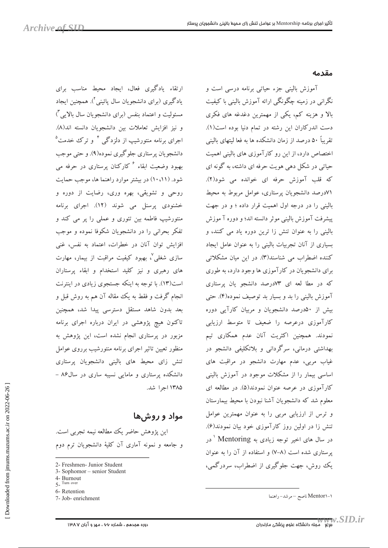#### مقدمه

ارتقاء یادگیری فعال، ایجاد محیط مناسب برای یادگیری (برای دانشجویان سال پائینی ْ). همچنین ایجاد مسئولیت و اعتماد پنفس (برای دانشجویان سال بالایی ۳) و نيز افزايش تعاملات بين دانشجويان دانسته اند(٨). اجرای برنامه منتورشیپ از دلزدگی <sup>۴</sup> و ترک خدمت<sup>۵</sup> دانشجو بان پر ستاري جلو گيري نمو ده(۹). و حتي موجب بهبود وضعیت ابقاء <sup>۶</sup> کارکنان پرستاری در حرفه می شود. (۱۰،۱۱) در بیشتر موارد راهنما ها، موجب حمایت روحي و تشويقي، بهره وري، رضايت از دوره و خشنودی پرسنل می شوند (۱۲). اجرای برنامه منتورشیپ فاطمه بین تئوری و عملی را پر می کند و تفکر بحرانی را در دانشجویان شکوفا نموده و موجب افزایش توان آنان در خطرات، اعتماد به نفس، غنی سازی شغلی<sup>۷</sup>، بهبود کیفیت مراقبت از بیمار، مهارت های رهبری و نیز کلید استخدام و ابقاء پرستاران است(١٣). با توجه به اینکه جستجوی زیادی در اینترنت انجام گرفت و فقط به يک مقاله آن هم به روش قبل و بعد بدون شاهد مستقل دسترسی پیدا شد، همچنین تاکنون هیچ پژوهشی در ایران درباره اجرای برنامه مزبور در پرستاری انجام نشده است، این پژوهش به منظور تعيين تاثير اجراى برنامه منتورشيب برروى عوامل تنش زای محیط های بالینی دانشجویان پرستاری دانشکده پرستاری و مامایی نسبیه ساری در سال۸۶ – ١٣٨۵ اجرا شد.

### مواد و روش ها

ابن پژوهش حاضر یک مطالعه نیمه تجربی است. و جامعه و نمونه آماري آن كليهٔ دانشجويان ترم دوم آموزش بالینی جزء حیاتی برنامه درسی است و نگرانی در زمینه چگونگی ارائه آموزش بالینی با کیفیت بالا و هزینه کم، یکی از مهمترین دغدغه های فکری دست اندرکاران این رشته در تمام دنیا بوده است(۱). تقریباً ۵۰ درصد از زمان دانشکده ها به فعا لیتهای بالینی اختصاص دارد، از این رو کار آموزی های بالبنی اهمیت حیاتی در شکل دهی هویت حرفه ای داشته، به گونه ای که قلب آموزش حرفه ای خوانده می شود(۲). ۷۱درصد دانشجویان برستاری، عوامل مربوط به محیط بالینی را در درجه اول اهمیت قرار داده ؛ و در جهت پیشرفت آموزش بالینی موثر دانسته اند؛ و دوره آ موزش بالینی را به عنوان تنش زا ترین دوره یاد می کنند، و بسیاری از آنان تجربیات بالینی را به عنوان عامل ایجاد کننده اضطراب می شناسند(۳). در این میان مشکلاتی برای دانشجویان در کارآموزی ها وجود دارد، به طوری که در مطا لعه ای ۷۳درصد دانشجو یان پرستاری آموزش بالینی را بد و بسیار بد توصیف نموده(۴). حتی بیش از ۵۰درصد دانشجویان و مربیان کارآیی دوره کارآموزی درعرصه را ضعیف تا متوسط ارزیابی نمودند. همچنین اکثریت آنان عدم همکاری تیم بهداشتی درمانی، سرگردانی و بلاتکلیفی دانشجو در غیاب مربی، عدم مهارت دانشجو در مراقبت های اساسی بیمار را از مشکلات موجود در آموزش بالینی کارآموزی در عرصه عنوان نمودند(۵). در مطالعه ای معلوم شد كه دانشجويان آشنا نبودن با محيط بيمارستان و ترس از ارزیابی مربی را به عنوان مهمترین عوامل تنش زا در اولین روز کارآموزی خود بیان نمودند(۶). در سال های اخیر توجه زیادی به Mentoring ' در برستاری شده است (۸–۷) و استفاده از آن را به عنوان یک روش، جهت جلوگیری از اضطراب، سردرگمی،

 $\boldsymbol{\mathsf w}. SID.\boldsymbol{ir}$ 

<sup>2-</sup> Freshmen- Junior Student

<sup>3-</sup> Sophomor – senior Student

<sup>4-</sup> Burnout

 $5 -$ Turn over

<sup>6-</sup>Retention

<sup>7-</sup> Job- enrichment

ا–Mentor۱ ناصح –مرشد- راهنما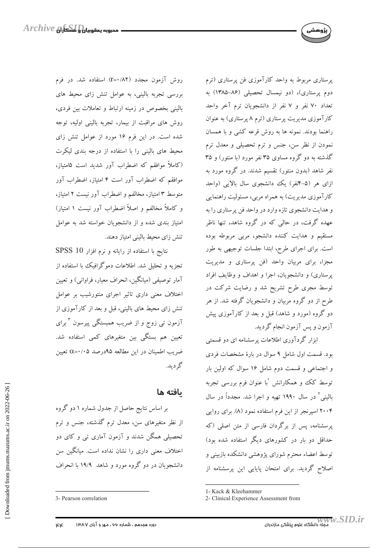

روش آزمون مجدد (۲×۰/۰=۲) استفاده شد. در فرم بررسی تجربه بالینی، به عوامل تنش زای محیط های بالینی بخصوص در زمینه ارتباط و تعاملات بین فردی، روش های مراقبت از بیمار، تجربه بالینی اولیه، توجه شده است. در این فرم ۱۶ مورد از عوامل تنش زای محیط های بالینی را با استفاده از درجه بندی لیکرت (کاملاً موافقم که اضطراب آور شدید است ۱۵متیاز، موافقم که اضطراب آور است ۴ امتیاز، اضطراب آور متوسط ۳ امتیاز، مخالفم و اضطراب آور نیست ۲ امتیاز، و کاملاً مخالفم و اصلاً اضطراب آور نیست ۱ امتیاز) امتیاز بندی شده و از دانشجویان خواسته شد به عوامل تنش زای محیط بالینی امتیاز دهند.

نتايج با استفاده از رايانه و نرم افزار SPSS 10 تجزیه و تحلیل شد. اطلاعات دموگرافیک با استفاده از آمار توصیفی (میانگین، انحراف معیار، فراوانی) و تعیین اختلاف معنی داری تاثیر اجرای منتورشیب بر عوامل تنش زای محیط های بالینی، قبل و بعد از کارآموزی از آزمون تبی زوج و از ضریب همبستگی پیرسون " برای تعیین هم بستگی بین متغیرهای کمی استفاده شد. ضریب اطمینان در این مطالعه ۹۵درصد ۰/۰۵=c تعیین گر ديد.

### ىافتە ھا

بر اساس نتایج حاصل از جدول شماره ۱ دو گروه از نظر متغیرهای سن، معدل ترم گذشته، جنس و ترم تحصیلی همگن شدند و آزمون آماری تبی و کای دو اختلاف معنی داری را نشان نداده است. میانگین سن دانشجویان در دو گروه مورد و شاهد ۱۹/۹ با انحراف پرستاری مربوط به واحد کارآموزی فن پرستاری (ترم دوم پرستاری)، (دو نیمسال تحصیلی (۸۶–۱۳۸۵) به تعداد ۷۰ نفر و ۷ نفر از دانشجویان ترم آخر واحد کارآموزی مدیریت پرستاری (ترم ۸ پرستاری) به عنوان راهنما بودند. نمونه ها به روش قرعه كشي و با همسان نمودن از نظر سن، جنس و ترم تحصیلی و معدل ترم گذشته به دو گروه مساوی ۳۵ نفر مورد (با منتور) و ۳۵ نفر شاهد (بدون منتور) تقسیم شدند. در گروه مورد به ازای هر (۵-۴نفر) یک دانشجوی سال بالایی (واحد کارآموزی مدیریت) به همراه مربی، مسئولیت راهنمایی و هدایت دانشجوی تازه وارد در واحد فن پرستاری را به عهده گرفت، در حالی که در گروه شاهد، تنها ناظر مستقیم و هدایت کننده دانشجو، مربی مربوطه بوده است. برای اجرای طرح، ابتدا جلسات توجیهی به طور مجزا، برای مربیان واحد (فن پرستاری و مدیریت یرستاری) و دانشجویان، اجرا و اهداف و وظایف افراد توسط مجری طرح تشریح شد و رضایت شرکت در طرح از دو گروه مربیان و دانشجویان گرفته شد. از هر دو گروه (مورد و شاهد) قبل و بعد از کارآموزی پیش آزمون و پس آزمون انجام گردید.

ابزار گردآوری اطلاعات پرسشنامه ای دو قسمتی بود. قسمت اول شامل ۹ سوال در بارهٔ مشخصات فردی و اجتماعی و قسمت دوم شامل ۱۶ سوال که اولین بار توسط کک و همکارانش <sup>'</sup>با عنوان فرم بررسی تجربه بالینی ٔ در سال ۱۹۹۰ تهیه و اجرا شد. مجدداً در سال ۲۰۰۴ اسپرنجر از این فرم استفاده نمود (۸). برای روایی پرسشنامه، پس از برگردان فارسی از متن اصلی (که حداقل دو بار در کشورهای دیگر استفاده شده بود) توسط اعضاء محترم شورای یژوهشی دانشکده بازبینی و اصلاح گردید. برای امتحان پایایی این پرسشنامه از

<sup>3-</sup> Pearson correlation

<sup>1-</sup> Kack & Kleehammer

<sup>2-</sup> Clinical Experience Assessment from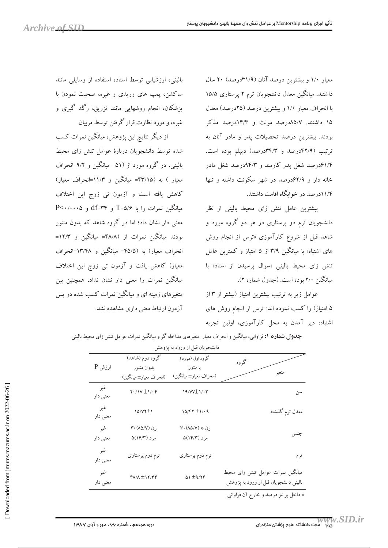معیار ۱/۰ و بیشترین درصد آنان (۳۱/۹درصد) ۲۰ سال داشتند. میانگین معدل دانشجویان ترم ۲ پرستاری ۱۵/۵ با انحراف معیار ١/٠ و بیشترین درصد (٢۵درصد) معدل ۱۵ داشتند. ۸۵/۷درصد مونث و ۱۴/۳درصد مذکر بودند. بیشترین درصد تحصیلات پدر و مادر آنان به ترتیب (۴۲/۹درصد و ۳۴/۳درصد) دیپلم بوده است. ۶۱/۴درصد شغل پدر کارمند و ۹۴/۳درصد شغل مادر خانه دار و ۶۲/۹درصد در شهر سکونت داشته و تنها ۱۱/۴در صد در خوابگاه اقامت داشتند.

بیشترین عامل تنش زای محیط بالینی از نظر دانشجویان ترم دو پرستاری در هر دو گروه مورد و شاهد قبل از شروع كارآموزى «ترس از انجام روش های اشتباه» با میانگین ۳/۹ از ۵ امتیاز و کمترین عامل تنش زای محیط بالینی «سوال پرسیدن از استاد» با مبانگین ۲/۰ بوده است. (جدول شماره ۲).

عوامل زیر به ترتیب بیشترین امتیاز (بیشتر از ۱۳ز ۵ امتیاز) را کسب نموده اند: ترس از انجام روش های اشتباه، دیر آمدن به محل کارآموزی، اولین تجربه

بالینی، ارزشیابی توسط استاد، استفاده از وسایلی مانند ساکشن، یمپ های وریدی و غیره، صحبت نمودن با پزشکان، انجام روشهایی مانند تزریق، رگ گیری و غیره، و مورد نظارت قرار گرفتن توسط مربیان.

از دیگر نتایج این پژوهش، میانگین نمرات کسب شده توسط دانشجويان دربارة عوامل تنش زاى محيط بالینی، در گروه مورد از (۵۱= میانگین و ۹/۲=انحراف معیار ) به (۴۳/۱۵= میانگین و ۱۱/۳=انحراف معیار) كاهش يافته است و آزمون تي زوج اين اختلاف میانگین نمرات را با T=۵/۶ و df=۳۴ و P<۰/۰۰۰۵ معنی دار نشان داد؛ اما در گروه شاهد که بدون منتور بودند میانگین نمرات از (۴۸/۸= میانگین و ۱۲/۳= انحراف معیار) به (۴۵/۵= میانگین و ۱۳/۴۸=انحراف معیار) کاهش یافت و آزمون تی زوج این اختلاف میانگین نمرات را معنی دار نشان نداد. همچنین بین متغیرهای زمینه ای و میانگین نمرات کسب شده در پس آزمون ارتباط معنى دارى مشاهده نشد.

| دانشجویان قبل از ورود به پژوهش |                                                          |                                                                                                                 |                                                                           |  |  |  |
|--------------------------------|----------------------------------------------------------|-----------------------------------------------------------------------------------------------------------------|---------------------------------------------------------------------------|--|--|--|
| ارزش P                         | گروه دوم (شاهد)<br>بدون منتور<br>(انحراف معيار± ميانگين) | گروه اول (مورد)<br>با منتور<br>(انحراف معيار± ميانگين)                                                          | گروه<br>متغير                                                             |  |  |  |
| غير<br>معنى دار                | $Y'/IV \pm 1/\cdot F$                                    | $19/VV^{\pm}$ $1/17$                                                                                            | سن                                                                        |  |  |  |
| غير<br>معنى دار                | $10/VT\pm1$                                              | $10/FY \pm 1/4$                                                                                                 | معدل ترم گذشته                                                            |  |  |  |
| غير<br>معنی دار                | زن (۸۵/۷) ۳۰<br>مرد (۱۴/۳)۵                              | $\mathbf{r} \cdot (\mathbf{\Lambda} \mathbf{\Delta} / \mathbf{V}) * \mathbf{U}$ زن<br>$\Delta(1 \sqrt{r})$ مر د | جنس                                                                       |  |  |  |
| غير<br>معنی دار                | ترم دوم پرستاری                                          | ترم دوم پرستاری                                                                                                 | ترم                                                                       |  |  |  |
| غير<br>معنی دار                | $f_A/A \pm 17/T$                                         | $\Delta$ 1 $\pm$ 9/٢۴                                                                                           | میانگین نمرات عوامل تنش زای محیط<br>بالینی دانشجویان قبل از ورود به پژوهش |  |  |  |
|                                |                                                          |                                                                                                                 | * داخل پرانتز درصد و خارج آن فراوانی                                      |  |  |  |

**جدول شعاره ۱:** فراوانی، میانگین و انحراف معیار متغیرهای مداخله گر و میانگین نمرات عوامل تنش زای محیط بالینی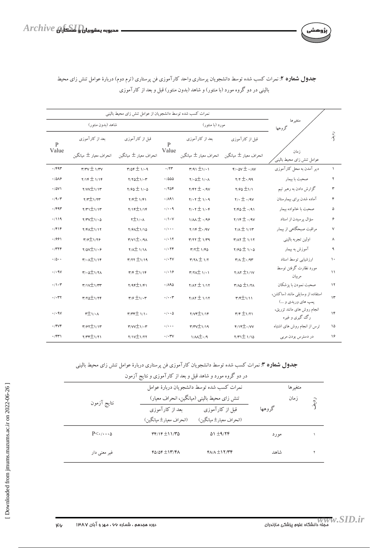

|                            |                                           | نمرات کسب شده توسط دانشجویان از عوامل تنش زای محیط بالینی |                                |                                                               |                                                    |                                                       |            |
|----------------------------|-------------------------------------------|-----------------------------------------------------------|--------------------------------|---------------------------------------------------------------|----------------------------------------------------|-------------------------------------------------------|------------|
| شاهد (بدون منتور)          |                                           |                                                           | مورد (با منتور)                |                                                               |                                                    | متغيرها<br>گروهها                                     |            |
| $\mathbf{P}$               | بعد از کار آموزی                          | قبل از کارآموزی                                           | P                              | بعد از کارآموزی                                               | قبل از کارآموزی                                    |                                                       | رديفر      |
| Value                      | انحراف معيار ± ميانگين                    | انحراف معيار ± ميانگين                                    | Value                          | انحراف معیار ± میانگین                                        | انحراف معيار ± ميانگين                             | زمان<br>عوامل تنش زاى محيط بالينى                     |            |
| .794                       | $r$ / $rv \pm 1/rv$                       | $\mathbf{r}/\Delta \mathbf{r} \pm \mathbf{1}/\mathbf{1}$  | .77                            | $\mathbf{r}/\mathbf{q}$ $\pm \frac{1}{\sqrt{1-\mathbf{q}}}$   | $f \cdot \Delta V \pm \cdot \Delta V$              | دیر آمدن به محل کارآموزی                              | $\lambda$  |
| .7019                      | $\mathbf{y}$                              | $\frac{1}{\sqrt{2}}$                                      | .7000                          | $\gamma \cdot \Delta \pm \gamma \cdot \Lambda$                | $\gamma/\gamma \pm 0.099$                          | صحبت با بيمار                                         | ۲          |
| .70V1                      | $\gamma$ / $\gamma$ $\pm \gamma$          | $\frac{1}{2}$                                             | .7809                          | $\gamma$ /۴۲ $\pm$ ./۹ $\gamma$                               | $\frac{1}{2}$                                      | گزارش دادن به رهبر تیم                                | ٣          |
| .4.7                       | $\gamma/\tau \pm 1/\tau \tau$             | $Y/F^{\pm}Y/FY$                                           | .7191                          | $\mathbf{y} \cdot \mathbf{y} \pm \mathbf{y} \cdot \mathbf{q}$ | $\mathbf{y}$ . $\pm$ ./9 $\mathbf{v}$              | آماده شدن براي بيمارستان                              | ۴          |
| .794                       | $\mathbf{y}$                              | $Y/YE+Y/Y$                                                | . / 9                          | $\gamma \cdot \tau \pm \gamma \cdot \tau$                     | $\frac{1}{2}$                                      | صحبت با خانواده بيمار                                 | ۵          |
| .7119                      | $\frac{1}{\sqrt{2}}$                      | $r\pm 1/4A$                                               | $\cdot/\cdot$ $\vee$           | $1/A\lambda \pm .099$                                         | $\gamma$                                           | سؤال يرسيدن از استاد                                  | ۶          |
| .7919                      | $Y/F\Lambda \pm Y/Y$                      | $Y/8A^{\pm}$ $1/10$                                       | $+/- + +$                      | $\gamma$                                                      | $\gamma$ / $\Lambda \pm \gamma$ / $\gamma$         | مراقبت صبحگاهی از بیمار                               | $\vee$     |
| .7991                      | $\frac{6+1}{7}$                           | $r/v \pm v$                                               | $\cdot$ / $\cdot$ \ $\Upsilon$ | $\mathbf{r}$ /۲۲ $\pm$ 1/۳۹                                   | $\mathbf{r}$ / $\mathbf{r}$ $\pm$ $\mathbf{r}$     | اولين تجربه باليني                                    | ٨          |
| .7799                      | $Y/\Delta V \pm 1/\cdot 9$                | $Y/\Lambda$ $\pm$ $Y/\Lambda$                             | .7.79                          | $r/r \pm 1/r_0$                                               | $\frac{1}{2}$                                      | آموزش به بیمار                                        | ٩          |
| $\cdot/\Delta \cdot \cdot$ | $\mathbf{r}$ . $\Delta \pm 1/\mathbf{r}$  | $r/rr \pm 1/19$                                           | $\cdot$ / $\cdot$ YV           | $\mathbf{r}$ / $\mathbf{r}$ $\pm$ $\mathbf{r}$                | $r_A \pm 0.4r$                                     | ارزشیابی توسط استاد                                   | ۱۰         |
| $\cdot$ / $\cdot$ 9 $\vee$ | $\mathbf{r}$ . $\Delta \pm 1$             | $\mathbf{r}$ / $\mathbf{r}$ $\pm$ 1/1 $\mathbf{r}$        | $\cdot$ / $\cdot$ 16           | $\mathbf{r}$ / $\mathbf{r}$                                   | $\gamma$ / $\chi$ $\tau$ $\pm$ $\gamma$ / $\gamma$ | مورد نظارت گرفتن توسط<br>مر بيان                      | $\lambda$  |
| $\cdot/\cdot$ ۳            | $\frac{r}{v}$                             | $Y/9F\pm1/F1$                                             | ۱٬۸۹۵                          | $\gamma$ / $\chi$ $\tau$ $\pm$ $\gamma$ / $\tau$              | $\mathbf{r}$ / $\mathbf{r}$ $\pm \frac{1}{1}$      | صحبت نمودن با يزشكان                                  | $\lambda$  |
| $\cdot$ / $\cdot$ ۳۲       | $\mathbf{r}$                              | $\mathbf{r}_{9} \pm \mathbf{v}_{1}$                       | $\cdot/\cdot\cdot$ ۳           | $\gamma$ / $\chi$ $\tau$ $\pm$ $\gamma$ / $\tau$              | $\mathbf{r}$ / $\mathbf{r}$ $\pm$ $\mathbf{r}$     | استفاده از وسایلی مانند (ساکشن،<br>پمپ هاي وريدي و …) | $\Upsilon$ |
| $\cdot$ / $\cdot$ 9 $\vee$ | $r\pm 1/4$                                | $r/r f \pm 1/1$                                           | $\cdot/\cdot\cdot\Delta$       | $Y/Vf \pm Y/Vf$                                               | $\mathbf{r}$ / $\mathbf{r}$ $\pm$ 1/ $\mathbf{r}$  | انجام روش های مانند تزریق،<br>رگ گیری و غیره          | $\gamma$ ۴ |
| $.$ / $FVF$                | $\mathbf{r}/\mathbf{r}$ $\pm \frac{1}{1}$ | $r/vv \pm v \cdot r$                                      | $\frac{1}{2}$                  | $r$ / $r$ $r \pm 1/19$                                        | $F/YF^{\perp} \cdot /W$                            | ترس از انجام روش های اشتباه                           | ۱۵         |
| .754                       | $Y/\mathbf{r}$ $\pm$ 1/٢١                 | Y/1VH1/7Y                                                 | $\cdot$ / $\cdot$ ۳ $\vee$     | $1/\lambda\lambda \pm 1/9$                                    | $Y/Y$ $\pm$ $Y$ $\delta$                           | در دسترس بودن مربی                                    | ۱۶         |

#### **جدول شماره ۲**: نمرات کسب شده توسط دانشجویان پرستاری واحد کارآموزی فن پرستاری (ترم دوم) دربارهٔ عوامل تنش زای محیط بالینی در دو گروه مورد (با منتور) و شاهد (بدون منتور) قبل و بعد از کارآموزی

جدول شماره ۳: نمرات کسب شده توسط دانشجویان کارآموزی فن پرستاری دربارهٔ عوامل تنش زای محیط بالینی

| در دو گروه مورد و شاهد قبل و بعد از کارآموزی و نتایج آزمون |                                             |                         |          |  |  |  |  |  |  |
|------------------------------------------------------------|---------------------------------------------|-------------------------|----------|--|--|--|--|--|--|
|                                                            | نمرات كسب شده توسط دانشجويان دربارة عوامل   |                         | متغيرها  |  |  |  |  |  |  |
| نتايج آزمون                                                | تنش زاي محيط باليني (ميانگين، انحراف معيار) | زمان                    | ردية.    |  |  |  |  |  |  |
|                                                            | بعد از کارآموزی                             | قبل از کارآموزی         | گر و هها |  |  |  |  |  |  |
|                                                            | (انحراف معيار± ميانگين)                     | (انحراف معيار± ميانگين) |          |  |  |  |  |  |  |
| $P<\cdot/\cdot\cdot\cdot\Delta$                            | $rr/1F \pm 11/T\Delta$                      | $\Delta$ 1 $\pm$ 9/74   | مو ر د   |  |  |  |  |  |  |
| غیر معنی دار                                               | $F_{\Delta}/\Delta F \pm 1T/F\Lambda$       | $FA/A + 117/TF$         | شاهد     |  |  |  |  |  |  |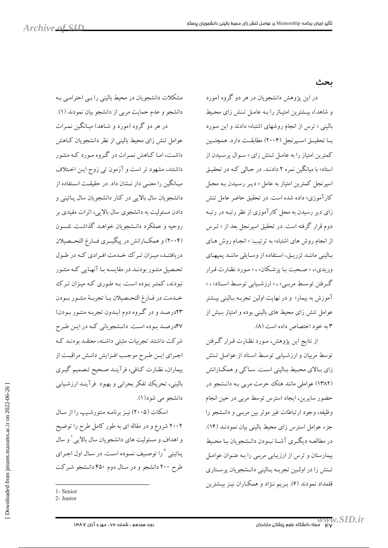مشکلات دانشجو پان در محیط بالینی را بے احترامے بـه دانشجو و عدم حمایت مربی از دانشجو بیان نمودند (۱). در هر دو گروه (مورد و شـاهد) میـانگین نمـرات عوامل تنش زای محیط بالینی از نظر دانشجو یان کـاهش داشت، امـا کـاهش نمـرات در گـروه مـورد کـه منتـور داشتند، مشهود تر است و آزمون تبی زوج ایـن اخـتلاف میـانگین را معنـی دار نــشان داد. در حقیقــت اسـتفاده از دانشجويان سال بالايي در كنار دانشجويان سال پـائيني و دادن مسئولیت به دانشجوی سال بالایی، اثرات مفیدی بر روحيه و عملكرد دانـشجويان خواهـد گذاشـت. نلـسون (۲۰۰۴) و همکــارانش در پیگیــري فــارغ التحــصیلان دریافتنـد، میــزان تــرک خــدمت افــرادی کــه در طــول تحصیل منتـور بودنـد در مقایـسه بـا آنهـایی کـه منتـور نبودند، کمتر بوده است. به طوری که میزان ترک خـدمت در فـارغ التحـصيلان بـا تجربـهٔ منتـور بـودن ۲۳درصـد و در گـروه دوم (بـدون تجربـه منتـور بـودن) ۴۷درصـد بـوده اسـت. دانـشجوياني كـه در ايـن طـرح شرکت داشتند تجربیات مثبتی داشـته، معتقـد بودنـد کـه اجراي اين طرح موجب افزايش دانش مراقبت از بیماران، نظارت كـافي، فرآينـد صـحيح تـصميم گيـري بالینی، تحریک تفکر بحرانی و بهبود فرآینـد ارزشـیابی دانشجو مي شود(١).

اسکات (۲۰۰۵) نیـز برنامـه منتورشـیپ را از سـال ۲۰۰۲ شروع و در مقاله ای به طور کامل طرح را توضیح و اهداف و مسئوليت هاي دانشجو يان سال بالايي ٰ و سال یـائینی <sup>۲</sup> را توصـیف نمـوده اسـت. در سـال اول اجـرای طرح ۲۰۰ دانشجو و در سال دوم ۴۵۰ دانشجو شـركت

ىحث

در اين يژوهش دانشجويان در هر دو گروه (مورد و شاهد)، بیشترین امتیاز را به عامل تنش زای محیط بالینی « ترس از انجام روشهای اشتباه» دادند و این مورد با تحقیــق اســپرنجل (۲۰۰۴) مطابقــت دارد. همچنــین کمترین امتیاز را به عامل تـنش زای « سـوال پرسـیدن از استاد» با میانگین نمره ۲ دادنـد. در حـالی کـه در تحقیـق اسیرنجل کمترین امتیاز به عامل « دیـر رسـیدن بـه محـل کار آموزی» داده شده است. در تحقیق حاضر عامل تنش زای دیر رسیدن به محل کارآموزی از نظر رتبـه در رتبـه دوم قرار گرفته است. در تحقیق اسپرنجل بعد از « تـرس از انجام روش های اشتباه» به ترتیب: « انجام روش های بالینی ماننـد تزریـق، اسـتفاده از وسـایلی ماننـد پمپهـای وریدی»، « صحبت بـا یز شـکان» ، « مـورد نظـارت قـرار گـرفتن توسـط مربــي» ، « ارزشــيابي توسـط اســتاد» ، « آموزش به بیمار» و در نهایت اولین تجربـه بـالینی بیـشتر عوامل تنش زای محیط های بالینی بوده و امتیاز بـیش از  $\lambda$ ) به خود اختصاص داده است (A).

از نتایج این پژوهش، مـورد نظـارت قـرار گـرفتن توسط مربيان و ارزشيابي توسط استاد از عوامل تنش زاي بـالاي محـيط بـاليني اسـت. سـاكي و همكـارانش (۱۳۸۲) عواملی مانند هتک حرمت مربی بـه دانـشجو در حضور سایرین، ایجاد استرس توسط مربی در حین انجام وظيفه، وجود ارتباطات غير موثر بين مربـي و دانـشجو را جزء عوامل استرس زاي محيط باليني بيان نمودنـد (١۴). در مطالعـه ديگـري آشـنا نبـودن دانـشجويان بـا محـيط بیمارستان و ترس از ارزیابی مرببی را بـه عنـوان عوامـل تمنش زا در اولين تجربه باليني دانـشجويان پرسـتاري قلمداد نمودند (۶). بـريم نـژاد و همكـاران نيـز بيـشترين

<sup>1-</sup> Senior

<sup>2-</sup> Junior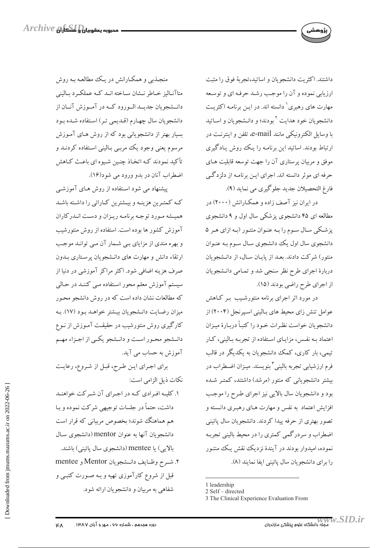

داشتند. اكثريت دانشجويان و اساتيد،تجربهٔ فوق را مثبت ارزیابی نموده و آن را موجب رشد حرفه ای و توسعه مهارت های رهبری<sup>۱</sup> دانسته اند. در ایـن برنامـه اکثریـت دانشجو يان خود هدايت <sup>٢</sup> بودند؛ و دانـشجو يان و اســاتيد با وسایل الکترونیکی مانند e-mail، تلفن و اینترنت در ارتباط بودند. اساتید این برنامـه را یـک روش پـادگیری موفق و مربیان پرستاری آن را جهت توسعه قابلیت هـای حرفه ای موثر دانسته اند. اجرای این برنامـه از دلزدگـی فارغ التحصيلان جديد جلوگيري مي نمايد (٩).

در ایران نیز آصف زاده و همکارانش (۲۰۰۰) در مطالعه ای ۴۵ دانشجوی پزشکی سال اول و ۹ دانشجوی پزشکی سـال سـوم را بـه عنـوان منتـور (بـه ازای هـر ۵ دانشجوی سال اول یک دانشجوی سـال سـوم بـه عنـوان منتور) شرکت دادند. بعـد از پایـان سـال، از دانـشجویان دربارهٔ اجرای طرح نظر سنجی شد و تمـامی دانـشجویان از اجرای طرح راضی بودند (١٥).

در مورد اثر اجرای برنامه منتورشیب بـر کـاهش عوامل تنش زای محیط های بـالینی اسـیرنجل (۲۰۰۴) از دانشجويان خواست نظرات خـود را كتبـاً دربـارهٔ ميـزان اعتماد بـه نفس، مزايـاي اسـتفاده از تجربـه بـاليني، كـار تیمی، بار کاری، کمک دانشجویان به یکدیگر در قالب فرم ارزشیابی تجربه بالینی آ بنویسند. میـزان اضـطراب در بیشتر دانشجویانی که منتور (مرشد) داشتند، کمتـر شـده بود و دانشجويان سال بالايي نيز اجراي طرح را موجب افزایش اعتماد به نفس و مهارت های رهبری دانسته و تصور بهتری از حرفه پیدا کردند. دانشجویان سال پائینی اضطراب و سردرگمی کمتری را در محیط بالینی تجربـه نموده، امیدوار بودند در آیندهٔ نزدیک نقش یک منتـور را برای دانشجو بان سال پائینی ایفا نمایند (A).

1 leadership

منجذبی و همکـارانش در یـک مطالعـه بـه روش متاآنـاليز خـاطر نــشان ســاخته انــد كــه عملكــرد بــاليني دانــشجويان جديــد الــورود كــه در آمــوزش آنــان از دانشجويان سال چهارم (قـديمي تـر) اسـتفاده شـده بـود بسیار بهتر از دانشجویانی بود که از روش هـای آمـوزش مرسوم یعنی وجود یک مربـی بـالینی اسـتفاده کردنــد و تأكيد نمودند كـه اتخـاذ چنـين شـيوه اي باعـث كـاهش اضطراب آنان در بدو ورود مي شو د(١۶).

پیشنهاد می شود استفاده از روش هـای آموزشـی کـه کمتـرین هزینـه و بیـشترین کـارائی را داشـته باشـد هميـشه مـورد توجـه برنامـه ريـزان و دسـت انـدركاران آموزش کشور ها بوده است. استفاده از روش منتورشیب و بهره مندی از مزایای ببی شمار آن مبی توانـد موجب ارتقاء دانش و مهارت های دانشجویان پرستاری بـدون صرف هزینه اضافی شود. اکثر مراکز آموزشی در دنیا از سیستم آموزش معلم محور استفاده مـی کننـد در حـالی که مطالعات نشان داده است که در روش دانشجو محـور میزان رضایت دانـشجویان بیـشتر خواهـد بـود (١٧). بـه کارگیری روش منتورشیب در حقیقت آمـوزش از نـوع دانــشجو محـور اســت و دانــشجو يكــي از اجـزاء مهــم آموزش به حساب می آید.

برای اجرای این طرح، قبل از شروع، رعایت نكات ذيل الزامي است:

۱. کلیـه افـرادي کـه در اجـراي آن شـر کت خواهنـد داشت، حتماً در جلسات توجیهی شرکت نموده و بـا هم هماهنگ شوند؛ بخصوص مربیانی که قرار است دانشجويان آنها به عنوان mentor (دانشجوي سـال بالايي) يا mentee (دانشجوي سال پائيني) باشند. ٢. شرح وظايف دانـشجويان Mentor و mentee قبل از شروع کارآموزی تهیه و بـه صـورت کتبـی و شفاهی به مربیان و دانشجو بان ارائه شود.

<sup>2</sup> Self - directed

<sup>3</sup> The Clinical Experience Evaluation From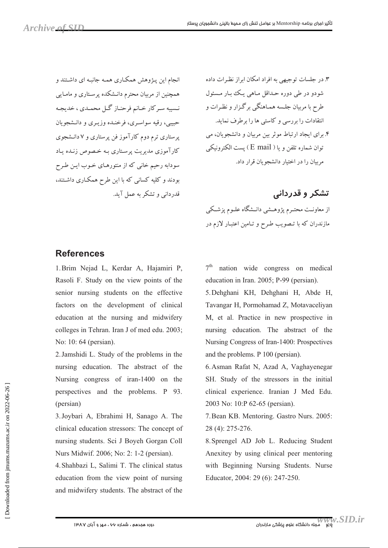نجام این به هش همکباری همیه جانبیه ای داشتند و همجنین از مربیان محترم دانیشکده برستاری و مامیاب نسیبه سه کار خیانه فرجنیاز گیل محمیدی ، خدیجه حبیب ، د قبه سواسه ی، فرخنده وزیبری و دانش<del>ج</del>وران <sub>د ستار</sub>ی ترم دوم کارآموز فن برستاری و ۷ دانشجوی کار آموزی مدر بت برستاری به خصوص زنیده بیاد سودابه رحیم خانی که از منتورهـای خـوب ایـن طـرح بودند و کلیه کسانی که با این طرح همکـاری داشـتند، قدردانی و تشکر به عمل آید.

 7 BY 
 J @ 
2 B I= .3 5xI 6 4 1U& 7 ` \$ BY :
g4 4 I= '` .& G`
 4 - 
 B A 9 +,  /
F ^ # + ) .4 JJ -I\* ( E mail ) /8= 7 \$ . U +, 3 

تشکر و قد*ر*دانی ز معاونیت محتبره بژوهسشی دانستگاه علیه م بزشیک مازندران که با تـصویب طـرح و تـامین اعتبـار لازم در

### **References**

1.Brim Nejad L, Kerdar A, Hajamiri P, Rasoli F. Study on the view points of the senior nursing students on the effective factors on the development of clinical education at the nursing and midwifery colleges in Tehran. Iran J of med edu. 2003; No: 10: 64 (persian).

2.Jamshidi L. Study of the problems in the nursing education. The abstract of the Nursing congress of iran-1400 on the perspectives and the problems. P 93. (persian)

3.Joybari A, Ebrahimi H, Sanago A. The clinical education stressors: The concept of nursing students. Sci J Boyeh Gorgan Coll Nurs Midwif. 2006; No: 2: 1-2 (persian).

4.Shahbazi L, Salimi T. The clinical status education from the view point of nursing and midwifery students. The abstract of the

 $7<sup>th</sup>$  nation wide congress on medical education in Iran. 2005; P-99 (persian).

5.Dehghani KH, Dehghani H, Abde H, Tavangar H, Pormohamad Z, Motavaceliyan M, et al. Practice in new prospective in nursing education. The abstract of the Nursing Congress of Iran-1400: Prospectives and the problems. P 100 (persian).

6.Asman Rafat N, Azad A, Vaghayenegar SH. Study of the stressors in the initial clinical experience. Iranian J Med Edu. 2003 No: 10:P 62-65 (persian).

7.Bean KB. Mentoring. Gastro Nurs. 2005: 28 (4): 275-276.

8.Sprengel AD Job L. Reducing Student Anexitey by using clinical peer mentoring with Beginning Nursing Students. Nurse Educator, 2004: 29 (6): 247-250.